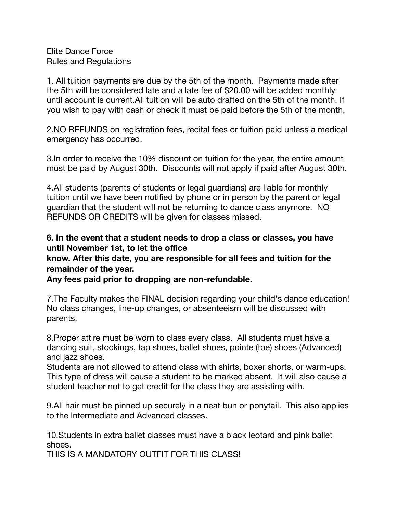Elite Dance Force Rules and Regulations

1. All tuition payments are due by the 5th of the month. Payments made after the 5th will be considered late and a late fee of \$20.00 will be added monthly until account is current.All tuition will be auto drafted on the 5th of the month. If you wish to pay with cash or check it must be paid before the 5th of the month,

2.NO REFUNDS on registration fees, recital fees or tuition paid unless a medical emergency has occurred.

3.In order to receive the 10% discount on tuition for the year, the entire amount must be paid by August 30th. Discounts will not apply if paid after August 30th.

4.All students (parents of students or legal guardians) are liable for monthly tuition until we have been notified by phone or in person by the parent or legal guardian that the student will not be returning to dance class anymore. NO REFUNDS OR CREDITS will be given for classes missed.

## **6. In the event that a student needs to drop a class or classes, you have until November 1st, to let the office**

## **know. After this date, you are responsible for all fees and tuition for the remainder of the year.**

**Any fees paid prior to dropping are non-refundable.** 

7.The Faculty makes the FINAL decision regarding your child's dance education! No class changes, line-up changes, or absenteeism will be discussed with parents.

8.Proper attire must be worn to class every class. All students must have a dancing suit, stockings, tap shoes, ballet shoes, pointe (toe) shoes (Advanced) and jazz shoes.

Students are not allowed to attend class with shirts, boxer shorts, or warm-ups. This type of dress will cause a student to be marked absent. It will also cause a student teacher not to get credit for the class they are assisting with.

9.All hair must be pinned up securely in a neat bun or ponytail. This also applies to the Intermediate and Advanced classes.

10.Students in extra ballet classes must have a black leotard and pink ballet shoes.

THIS IS A MANDATORY OUTFIT FOR THIS CLASS!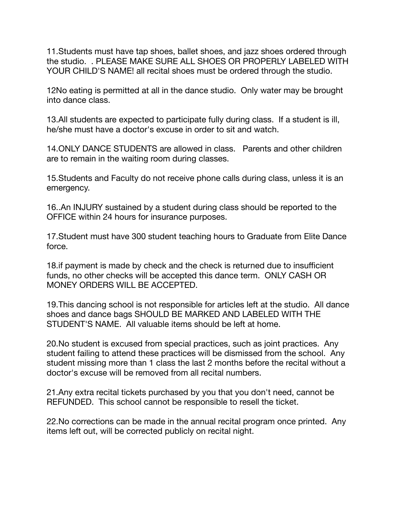11.Students must have tap shoes, ballet shoes, and jazz shoes ordered through the studio. . PLEASE MAKE SURE ALL SHOES OR PROPERLY LABELED WITH YOUR CHILD'S NAME! all recital shoes must be ordered through the studio.

12No eating is permitted at all in the dance studio. Only water may be brought into dance class.

13.All students are expected to participate fully during class. If a student is ill, he/she must have a doctor's excuse in order to sit and watch.

14.ONLY DANCE STUDENTS are allowed in class. Parents and other children are to remain in the waiting room during classes.

15.Students and Faculty do not receive phone calls during class, unless it is an emergency.

16..An INJURY sustained by a student during class should be reported to the OFFICE within 24 hours for insurance purposes.

17.Student must have 300 student teaching hours to Graduate from Elite Dance force.

18.if payment is made by check and the check is returned due to insufficient funds, no other checks will be accepted this dance term. ONLY CASH OR MONEY ORDERS WILL BE ACCEPTED.

19.This dancing school is not responsible for articles left at the studio. All dance shoes and dance bags SHOULD BE MARKED AND LABELED WITH THE STUDENT'S NAME. All valuable items should be left at home.

20.No student is excused from special practices, such as joint practices. Any student failing to attend these practices will be dismissed from the school. Any student missing more than 1 class the last 2 months before the recital without a doctor's excuse will be removed from all recital numbers.

21.Any extra recital tickets purchased by you that you don't need, cannot be REFUNDED. This school cannot be responsible to resell the ticket.

22.No corrections can be made in the annual recital program once printed. Any items left out, will be corrected publicly on recital night.